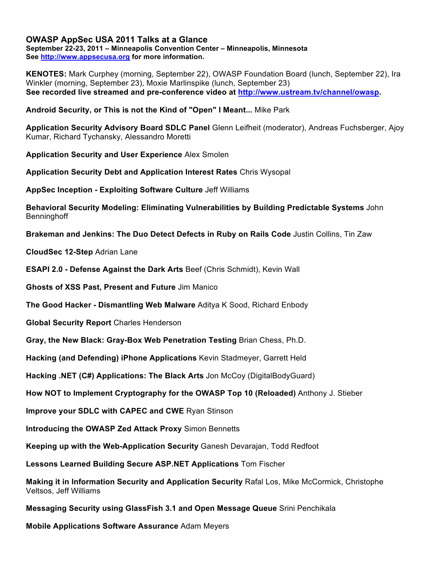## **OWASP AppSec USA 2011 Talks at a Glance**

**September 22-23, 2011 – Minneapolis Convention Center – Minneapolis, Minnesota See http://www.appsecusa.org for more information.**

**KENOTES:** Mark Curphey (morning, September 22), OWASP Foundation Board (lunch, September 22), Ira Winkler (morning, September 23), Moxie Marlinspike (lunch, September 23) **See recorded live streamed and pre-conference video at http://www.ustream.tv/channel/owasp.**

**Android Security, or This is not the Kind of "Open" I Meant...** Mike Park

**Application Security Advisory Board SDLC Panel** Glenn Leifheit (moderator), Andreas Fuchsberger, Ajoy Kumar, Richard Tychansky, Alessandro Moretti

**Application Security and User Experience** Alex Smolen

**Application Security Debt and Application Interest Rates** Chris Wysopal

**AppSec Inception - Exploiting Software Culture** Jeff Williams

**Behavioral Security Modeling: Eliminating Vulnerabilities by Building Predictable Systems** John **Benninghoff** 

**Brakeman and Jenkins: The Duo Detect Defects in Ruby on Rails Code** Justin Collins, Tin Zaw

**CloudSec 12-Step** Adrian Lane

**ESAPI 2.0 - Defense Against the Dark Arts** Beef (Chris Schmidt), Kevin Wall

**Ghosts of XSS Past, Present and Future** Jim Manico

**The Good Hacker - Dismantling Web Malware** Aditya K Sood, Richard Enbody

**Global Security Report** Charles Henderson

**Gray, the New Black: Gray-Box Web Penetration Testing** Brian Chess, Ph.D.

**Hacking (and Defending) iPhone Applications** Kevin Stadmeyer, Garrett Held

**Hacking .NET (C#) Applications: The Black Arts** Jon McCoy (DigitalBodyGuard)

**How NOT to Implement Cryptography for the OWASP Top 10 (Reloaded)** Anthony J. Stieber

**Improve your SDLC with CAPEC and CWE** Ryan Stinson

**Introducing the OWASP Zed Attack Proxy** Simon Bennetts

**Keeping up with the Web-Application Security** Ganesh Devarajan, Todd Redfoot

**Lessons Learned Building Secure ASP.NET Applications** Tom Fischer

**Making it in Information Security and Application Security** Rafal Los, Mike McCormick, Christophe Veltsos, Jeff Williams

**Messaging Security using GlassFish 3.1 and Open Message Queue** Srini Penchikala

**Mobile Applications Software Assurance** Adam Meyers